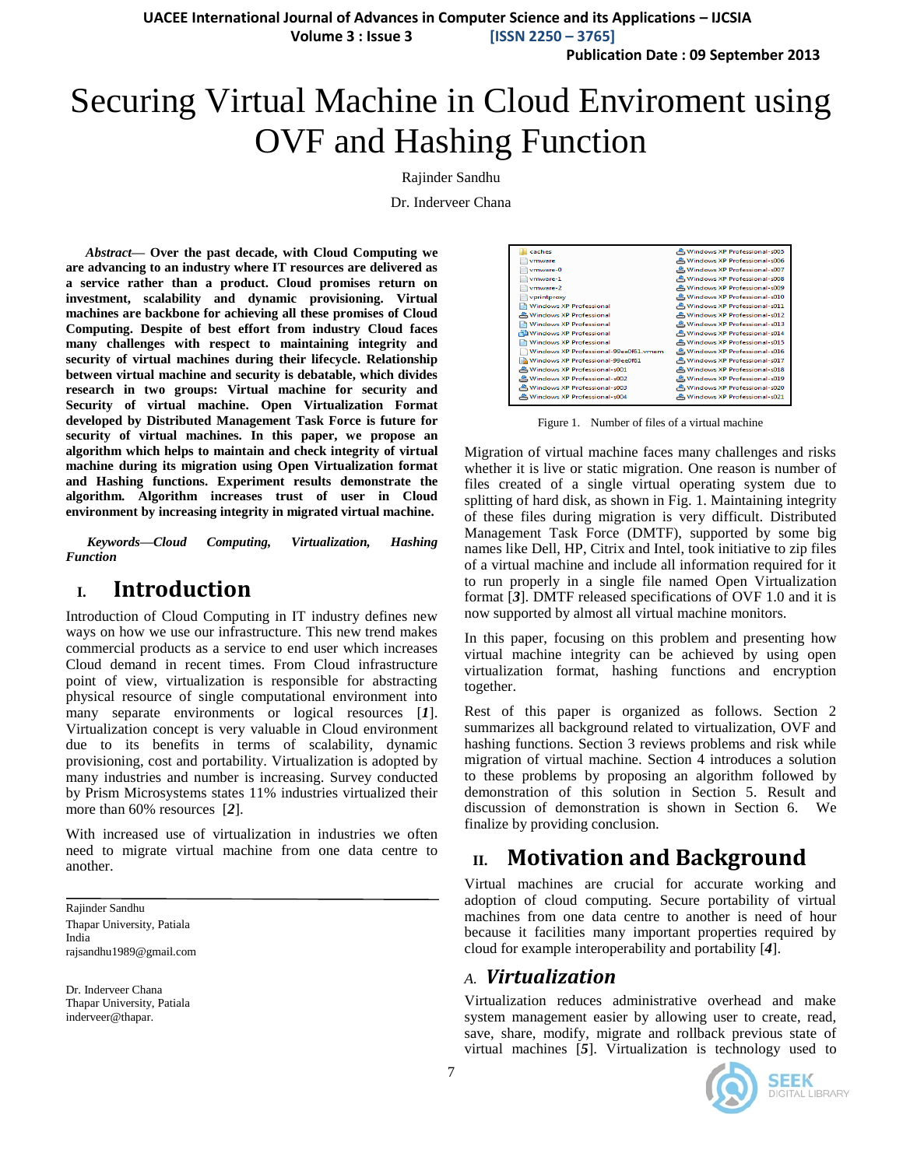**UACEE International Journal of Advances in Computer Science and its Applications – IJCSIA**

 **Volume 3 : Issue 3 [ISSN 2250 – 3765]**

**Publication Date : 09 September 2013**

# Securing Virtual Machine in Cloud Enviroment using OVF and Hashing Function

#### Rajinder Sandhu

Dr. Inderveer Chana

*Abstract***— Over the past decade, with Cloud Computing we are advancing to an industry where IT resources are delivered as a service rather than a product. Cloud promises return on investment, scalability and dynamic provisioning. Virtual machines are backbone for achieving all these promises of Cloud Computing. Despite of best effort from industry Cloud faces many challenges with respect to maintaining integrity and security of virtual machines during their lifecycle. Relationship between virtual machine and security is debatable, which divides research in two groups: Virtual machine for security and Security of virtual machine. Open Virtualization Format developed by Distributed Management Task Force is future for security of virtual machines. In this paper, we propose an algorithm which helps to maintain and check integrity of virtual machine during its migration using Open Virtualization format and Hashing functions. Experiment results demonstrate the algorithm. Algorithm increases trust of user in Cloud environment by increasing integrity in migrated virtual machine.**

*Keywords—Cloud Computing, Virtualization, Hashing Function*

### **I. Introduction**

Introduction of Cloud Computing in IT industry defines new ways on how we use our infrastructure. This new trend makes commercial products as a service to end user which increases Cloud demand in recent times. From Cloud infrastructure point of view, virtualization is responsible for abstracting physical resource of single computational environment into many separate environments or logical resources [*[1](#page-4-0)*]. Virtualization concept is very valuable in Cloud environment due to its benefits in terms of scalability, dynamic provisioning, cost and portability. Virtualization is adopted by many industries and number is increasing. Survey conducted by Prism Microsystems states 11% industries virtualized their more than 60% resources [*[2](#page-4-1)*].

With increased use of virtualization in industries we often need to migrate virtual machine from one data centre to another.

Rajinder Sandhu Thapar University, Patiala India rajsandhu1989@gmail.com

Dr. Inderveer Chana Thapar University, Patiala inderveer@thapar.

| caches                                       | 은 Windows XP Professional-s005 |
|----------------------------------------------|--------------------------------|
| vmware                                       | Windows XP Professional-s006   |
| vmware-0                                     | 은 Windows XP Professional-s007 |
| vmware-1                                     | Windows XP Professional-s008   |
| vmware-2                                     | 은 Windows XP Professional-s009 |
| vprintproxy                                  | Windows XP Professional-s010   |
| <b>Windows XP Professional</b>               | Windows XP Professional-s011   |
| 은 Windows XP Professional                    | 은 Windows XP Professional-s012 |
| <b>Windows XP Professional</b>               | Windows XP Professional-s013   |
| Windows XP Professional                      | 은 Windows XP Professional-s014 |
| <b>Windows XP Professional</b>               | Windows XP Professional-s015   |
| Windows XP Professional-99ee0f61.vmem        | 은 Windows XP Professional-s016 |
| <b>Bigh</b> Windows XP Professional-99ee0f61 | 은 Windows XP Professional-s017 |
| 은 Windows XP Professional-s001               | 은 Windows XP Professional-s018 |
| Windows XP Professional-s002                 | 은 Windows XP Professional-s019 |
| Windows XP Professional-s003                 | Windows XP Professional-s020   |
| 은 Windows XP Professional-s004               | 은 Windows XP Professional-s021 |
|                                              |                                |

Figure 1. Number of files of a virtual machine

Migration of virtual machine faces many challenges and risks whether it is live or static migration. One reason is number of files created of a single virtual operating system due to splitting of hard disk, as shown in Fig. 1. Maintaining integrity of these files during migration is very difficult. Distributed Management Task Force (DMTF), supported by some big names like Dell, HP, Citrix and Intel, took initiative to zip files of a virtual machine and include all information required for it to run properly in a single file named Open Virtualization format [*[3](#page-4-2)*]. DMTF released specifications of OVF 1.0 and it is now supported by almost all virtual machine monitors.

In this paper, focusing on this problem and presenting how virtual machine integrity can be achieved by using open virtualization format, hashing functions and encryption together.

Rest of this paper is organized as follows. Section 2 summarizes all background related to virtualization, OVF and hashing functions. Section 3 reviews problems and risk while migration of virtual machine. Section 4 introduces a solution to these problems by proposing an algorithm followed by demonstration of this solution in Section 5. Result and discussion of demonstration is shown in Section 6. We finalize by providing conclusion.

## **II. Motivation and Background**

Virtual machines are crucial for accurate working and adoption of cloud computing. Secure portability of virtual machines from one data centre to another is need of hour because it facilities many important properties required by cloud for example interoperability and portability [*[4](#page-4-3)*].

### *A. Virtualization*

Virtualization reduces administrative overhead and make system management easier by allowing user to create, read, save, share, modify, migrate and rollback previous state of virtual machines [*[5](#page-4-4)*]. Virtualization is technology used to

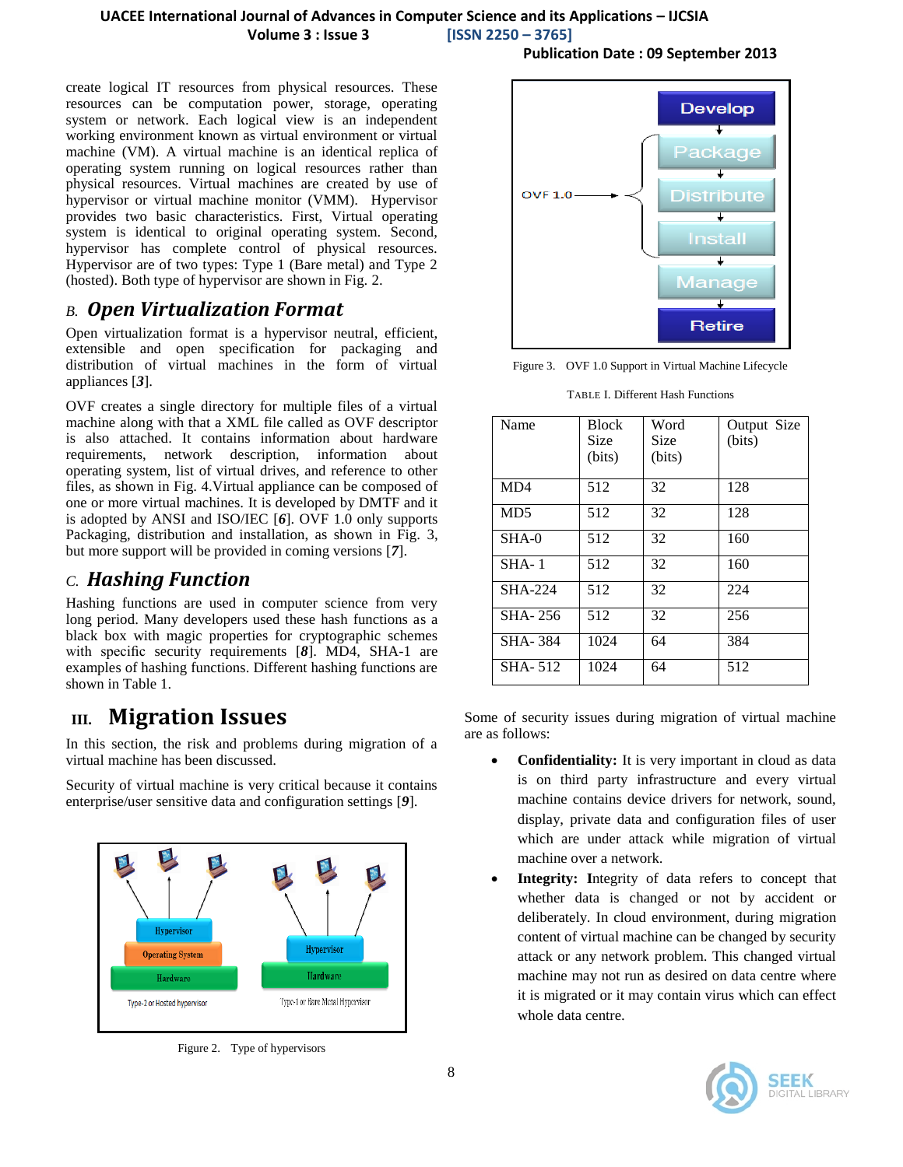**Publication Date : 09 September 2013**

create logical IT resources from physical resources. These resources can be computation power, storage, operating system or network. Each logical view is an independent working environment known as virtual environment or virtual machine (VM). A virtual machine is an identical replica of operating system running on logical resources rather than physical resources. Virtual machines are created by use of hypervisor or virtual machine monitor (VMM). Hypervisor provides two basic characteristics. First, Virtual operating system is identical to original operating system. Second, hypervisor has complete control of physical resources. Hypervisor are of two types: Type 1 (Bare metal) and Type 2 (hosted). Both type of hypervisor are shown in Fig. 2.

### *B. Open Virtualization Format*

Open virtualization format is a hypervisor neutral, efficient, extensible and open specification for packaging and distribution of virtual machines in the form of virtual appliances [*[3](#page-4-2)*].

OVF creates a single directory for multiple files of a virtual machine along with that a XML file called as OVF descriptor is also attached. It contains information about hardware requirements, network description, information about operating system, list of virtual drives, and reference to other files, as shown in Fig. 4.Virtual appliance can be composed of one or more virtual machines. It is developed by DMTF and it is adopted by ANSI and ISO/IEC [*[6](#page-4-5)*]. OVF 1.0 only supports Packaging, distribution and installation, as shown in Fig. 3, but more support will be provided in coming versions [*[7](#page-4-6)*].

### *C. Hashing Function*

Hashing functions are used in computer science from very long period. Many developers used these hash functions as a black box with magic properties for cryptographic schemes with specific security requirements [*[8](#page-4-7)*]. MD4, SHA-1 are examples of hashing functions. Different hashing functions are shown in Table 1.

# **III. Migration Issues**

In this section, the risk and problems during migration of a virtual machine has been discussed.

Security of virtual machine is very critical because it contains enterprise/user sensitive data and configuration settings [*[9](#page-4-8)*].



Figure 2. Type of hypervisors



Figure 3. OVF 1.0 Support in Virtual Machine Lifecycle

| Name            | <b>Block</b><br>Size<br>(bits) | Word<br>Size<br>(bits) | Output Size<br>(bits) |
|-----------------|--------------------------------|------------------------|-----------------------|
| MD4             | 512                            | 32                     | 128                   |
| MD <sub>5</sub> | 512                            | 32                     | 128                   |
| $SHA-0$         | 512                            | 32                     | 160                   |
| $SHA-1$         | 512                            | 32                     | 160                   |
| <b>SHA-224</b>  | 512                            | 32                     | 224                   |
| SHA-256         | 512                            | 32                     | 256                   |
| <b>SHA-384</b>  | 1024                           | 64                     | 384                   |
| SHA-512         | 1024                           | 64                     | 512                   |

TABLE I. Different Hash Functions

Some of security issues during migration of virtual machine are as follows:

- **Confidentiality:** It is very important in cloud as data is on third party infrastructure and every virtual machine contains device drivers for network, sound, display, private data and configuration files of user which are under attack while migration of virtual machine over a network.
- **Integrity: I**ntegrity of data refers to concept that whether data is changed or not by accident or deliberately. In cloud environment, during migration content of virtual machine can be changed by security attack or any network problem. This changed virtual machine may not run as desired on data centre where it is migrated or it may contain virus which can effect whole data centre.

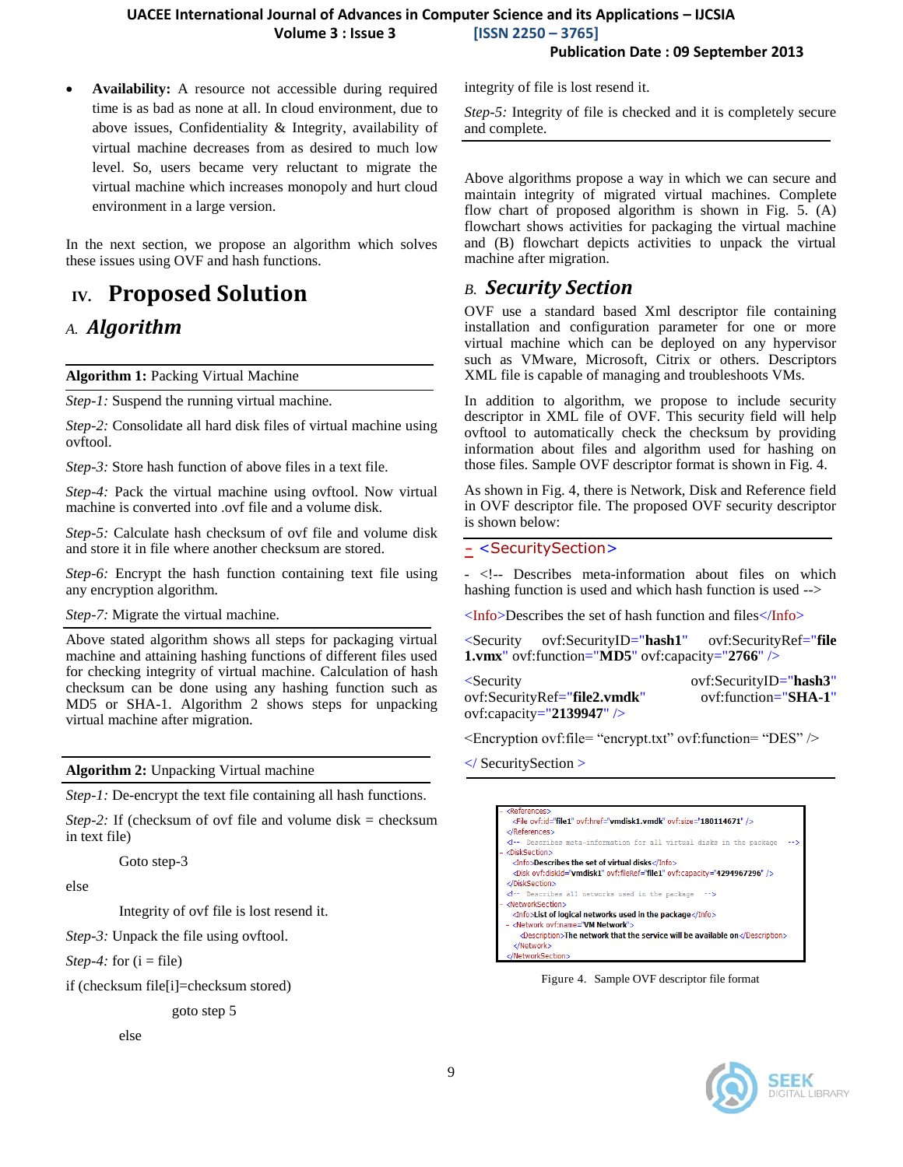**Publication Date : 09 September 2013**

 **Availability:** A resource not accessible during required time is as bad as none at all. In cloud environment, due to above issues, Confidentiality & Integrity, availability of virtual machine decreases from as desired to much low level. So, users became very reluctant to migrate the virtual machine which increases monopoly and hurt cloud environment in a large version.

In the next section, we propose an algorithm which solves these issues using OVF and hash functions.

# **IV. Proposed Solution**

### *A. Algorithm*

**Algorithm 1:** Packing Virtual Machine

*Step-1:* Suspend the running virtual machine.

*Step-2:* Consolidate all hard disk files of virtual machine using ovftool.

*Step-3:* Store hash function of above files in a text file.

*Step-4:* Pack the virtual machine using ovftool. Now virtual machine is converted into .ovf file and a volume disk.

*Step-5:* Calculate hash checksum of ovf file and volume disk and store it in file where another checksum are stored.

*Step-6:* Encrypt the hash function containing text file using any encryption algorithm.

*Step-7:* Migrate the virtual machine.

Above stated algorithm shows all steps for packaging virtual machine and attaining hashing functions of different files used for checking integrity of virtual machine. Calculation of hash checksum can be done using any hashing function such as MD5 or SHA-1. Algorithm 2 shows steps for unpacking virtual machine after migration.

**Algorithm 2:** Unpacking Virtual machine

*Step-1:* De-encrypt the text file containing all hash functions.

*Step-2:* If (checksum of ovf file and volume disk = checksum in text file)

Goto step-3

else

Integrity of ovf file is lost resend it.

*Step-3:* Unpack the file using ovftool.

*Step-4:* for  $(i = file)$ 

if (checksum file[i]=checksum stored)

goto step 5

else

integrity of file is lost resend it.

*Step-5:* Integrity of file is checked and it is completely secure and complete.

Above algorithms propose a way in which we can secure and maintain integrity of migrated virtual machines. Complete flow chart of proposed algorithm is shown in Fig. 5. (A) flowchart shows activities for packaging the virtual machine and (B) flowchart depicts activities to unpack the virtual machine after migration.

### *B. Security Section*

OVF use a standard based Xml descriptor file containing installation and configuration parameter for one or more virtual machine which can be deployed on any hypervisor such as VMware, Microsoft, Citrix or others. Descriptors XML file is capable of managing and troubleshoots VMs.

In addition to algorithm, we propose to include security descriptor in XML file of OVF. This security field will help ovftool to automatically check the checksum by providing information about files and algorithm used for hashing on those files. Sample OVF descriptor format is shown in Fig. 4.

As shown in Fig. 4, there is Network, Disk and Reference field in OVF descriptor file. The proposed OVF security descriptor is shown below:

#### **[-](file:///C:/Users/Rajinder/Desktop/sas.xml)** <SecuritySection>

- <!-- Describes meta-information about files on which hashing function is used and which hash function is used -->

<Info>Describes the set of hash function and files</Info>

<Security ovf:SecurityID="**hash1**" ovf:SecurityRef="**file 1.vmx**" ovf:function="**MD5**" ovf:capacity="**2766**" />

| <security< th=""><th>ovf:SecurityID="hash3"</th></security<> | ovf:SecurityID="hash3" |
|--------------------------------------------------------------|------------------------|
| ovf:SecurityRef="file2.vmdk"                                 | ovf:function="SHA-1"   |
| ovf:capacity="2139947" />                                    |                        |

 $\leq$ Encryption ovf:file= "encrypt.txt" ovf:function= "DES"  $\geq$ 

</ SecuritySection >

| <references></references>                                                                                                                                                                                                                                                                                                                                         |
|-------------------------------------------------------------------------------------------------------------------------------------------------------------------------------------------------------------------------------------------------------------------------------------------------------------------------------------------------------------------|
| <file ovf:href="vmdisk1.vmdk" ovf:id="file1" ovf:size="180114671"></file>                                                                                                                                                                                                                                                                                         |
|                                                                                                                                                                                                                                                                                                                                                                   |
| Describes meta-information for all virtual disks in the package</th></tr><tr><td><DiskSection></td></tr><tr><td><Info>Describes the set of virtual disks</Info></td></tr><tr><th><Disk ovf:diskId="vmdisk1" ovf:fileRef="file1" ovf:capacity="4294967296" /></th></tr><tr><td></DiskSection></td></tr><tr><td><!-- Describes all networks used in the package<br> |
| <networksection></networksection>                                                                                                                                                                                                                                                                                                                                 |
| <info>List of logical networks used in the package</info>                                                                                                                                                                                                                                                                                                         |
| - <network ovf:name="VM Network"></network>                                                                                                                                                                                                                                                                                                                       |
| <description>The network that the service will be available on</description>                                                                                                                                                                                                                                                                                      |
|                                                                                                                                                                                                                                                                                                                                                                   |
|                                                                                                                                                                                                                                                                                                                                                                   |

Figure 4. Sample OVF descriptor file format

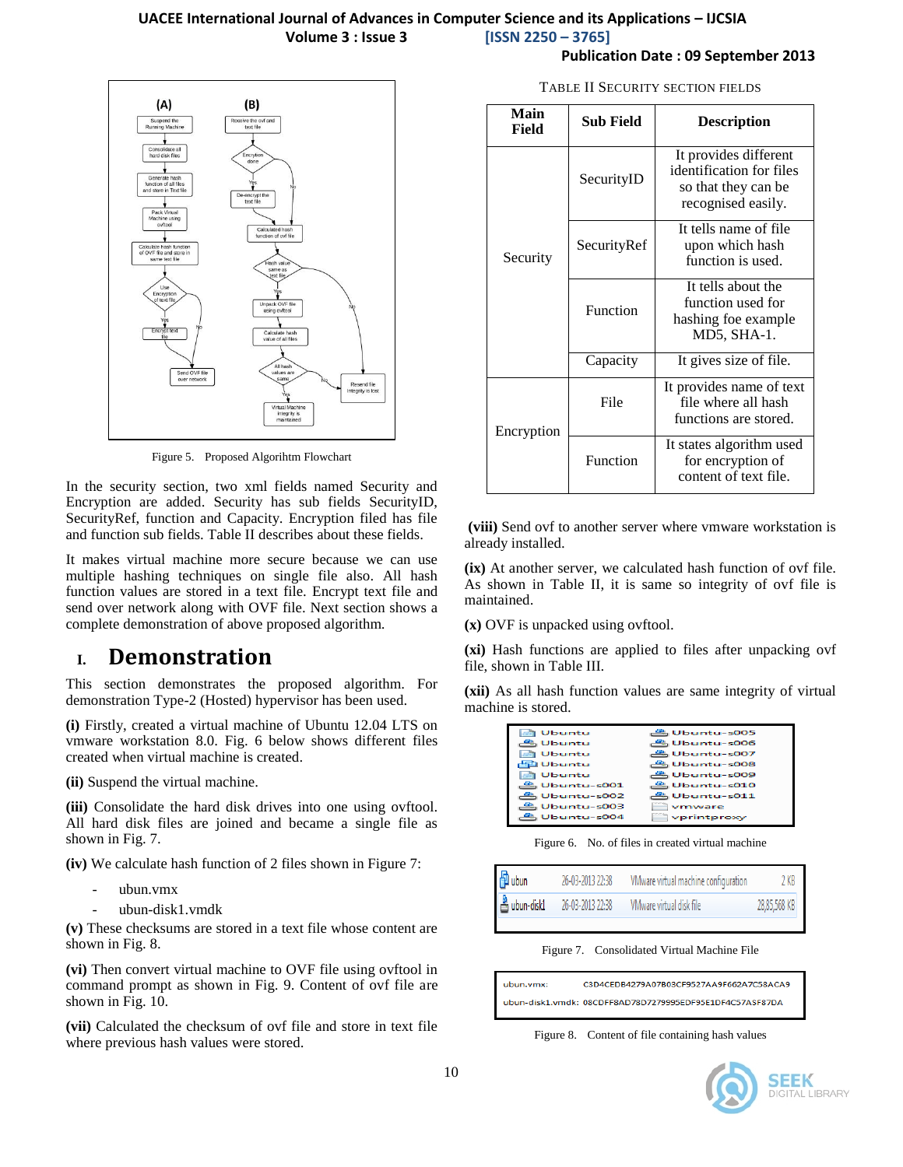

Figure 5. Proposed Algorihtm Flowchart

In the security section, two xml fields named Security and Encryption are added. Security has sub fields SecurityID, SecurityRef, function and Capacity. Encryption filed has file and function sub fields. Table II describes about these fields.

It makes virtual machine more secure because we can use multiple hashing techniques on single file also. All hash function values are stored in a text file. Encrypt text file and send over network along with OVF file. Next section shows a complete demonstration of above proposed algorithm.

### **I. Demonstration**

This section demonstrates the proposed algorithm. For demonstration Type-2 (Hosted) hypervisor has been used.

**(i)** Firstly, created a virtual machine of Ubuntu 12.04 LTS on vmware workstation 8.0. Fig. 6 below shows different files created when virtual machine is created.

**(ii)** Suspend the virtual machine.

**(iii)** Consolidate the hard disk drives into one using ovftool. All hard disk files are joined and became a single file as shown in Fig. 7.

**(iv)** We calculate hash function of 2 files shown in Figure 7:

- ubun.vmx
- ubun-disk1.vmdk

**(v)** These checksums are stored in a text file whose content are shown in Fig. 8.

**(vi)** Then convert virtual machine to OVF file using ovftool in command prompt as shown in Fig. 9. Content of ovf file are shown in Fig. 10.

**(vii)** Calculated the checksum of ovf file and store in text file where previous hash values were stored.

|  | TABLE II SECURITY SECTION FIELDS |  |  |
|--|----------------------------------|--|--|
|--|----------------------------------|--|--|

**Publication Date : 09 September 2013**

| Main<br>Field | <b>Sub Field</b> | <b>Description</b>                                                                             |
|---------------|------------------|------------------------------------------------------------------------------------------------|
|               | SecurityID       | It provides different<br>identification for files<br>so that they can be<br>recognised easily. |
| Security      | SecurityRef      | It tells name of file<br>upon which hash<br>function is used.                                  |
|               | Function         | It tells about the<br>function used for<br>hashing foe example<br>MD5, SHA-1.                  |
|               | Capacity         | It gives size of file.                                                                         |
| Encryption    | File             | It provides name of text<br>file where all hash<br>functions are stored.                       |
|               | Function         | It states algorithm used<br>for encryption of<br>content of text file.                         |

**(viii)** Send ovf to another server where vmware workstation is already installed.

**(ix)** At another server, we calculated hash function of ovf file. As shown in Table II, it is same so integrity of ovf file is maintained.

**(x)** OVF is unpacked using ovftool.

**(xi)** Hash functions are applied to files after unpacking ovf file, shown in Table III.

**(xii)** As all hash function values are same integrity of virtual machine is stored.

| Ubuntu          | 은 Ubuntu-s005   |
|-----------------|-----------------|
| <b>Ubuntu</b>   | 은 Ubuntu-s006   |
| <b>Ubuntu</b>   | 은 Ubuntu-s007   |
| Ha Ubuntu       | 은 Ubuntu-s008   |
| <b>Ubuntu</b>   | 은 Ubuntu-s009   |
| 은 Ubuntu-s001   | 은 Ubuntu-s010   |
| $B$ Ubuntu-s002 | $B$ Ubuntu-s011 |
| 은 Ubuntu-s003   | vmware          |
| Ubuntu-s004     | vprintproxy     |
|                 |                 |

Figure 6. No. of files in created virtual machine

| 图ubun        | 26-03-2013 22:38 | VMware virtual machine configuration | 2 KB         |
|--------------|------------------|--------------------------------------|--------------|
| & ubun-disk1 | 26-03-2013 22:38 | VMware virtual disk file             | 28,85,568 KB |

Figure 7. Consolidated Virtual Machine File

ubun.vmx: C3D4CEDB4279A07B03CF9527AA9F662A7C58ACA9 ubun-disk1.vmdk: 08CDFF8AD78D7279995EDF95E1DF4C57ASF87DA

Figure 8. Content of file containing hash values